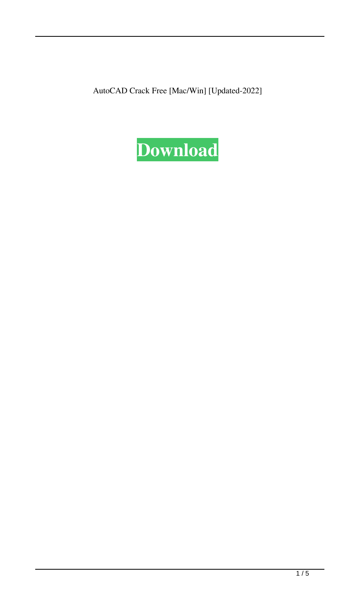AutoCAD Crack Free [Mac/Win] [Updated-2022]

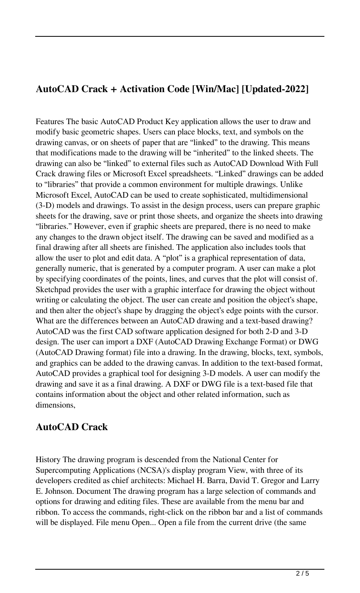# **AutoCAD Crack + Activation Code [Win/Mac] [Updated-2022]**

Features The basic AutoCAD Product Key application allows the user to draw and modify basic geometric shapes. Users can place blocks, text, and symbols on the drawing canvas, or on sheets of paper that are "linked" to the drawing. This means that modifications made to the drawing will be "inherited" to the linked sheets. The drawing can also be "linked" to external files such as AutoCAD Download With Full Crack drawing files or Microsoft Excel spreadsheets. "Linked" drawings can be added to "libraries" that provide a common environment for multiple drawings. Unlike Microsoft Excel, AutoCAD can be used to create sophisticated, multidimensional (3-D) models and drawings. To assist in the design process, users can prepare graphic sheets for the drawing, save or print those sheets, and organize the sheets into drawing "libraries." However, even if graphic sheets are prepared, there is no need to make any changes to the drawn object itself. The drawing can be saved and modified as a final drawing after all sheets are finished. The application also includes tools that allow the user to plot and edit data. A "plot" is a graphical representation of data, generally numeric, that is generated by a computer program. A user can make a plot by specifying coordinates of the points, lines, and curves that the plot will consist of. Sketchpad provides the user with a graphic interface for drawing the object without writing or calculating the object. The user can create and position the object's shape, and then alter the object's shape by dragging the object's edge points with the cursor. What are the differences between an AutoCAD drawing and a text-based drawing? AutoCAD was the first CAD software application designed for both 2-D and 3-D design. The user can import a DXF (AutoCAD Drawing Exchange Format) or DWG (AutoCAD Drawing format) file into a drawing. In the drawing, blocks, text, symbols, and graphics can be added to the drawing canvas. In addition to the text-based format, AutoCAD provides a graphical tool for designing 3-D models. A user can modify the drawing and save it as a final drawing. A DXF or DWG file is a text-based file that contains information about the object and other related information, such as dimensions,

### **AutoCAD Crack**

History The drawing program is descended from the National Center for Supercomputing Applications (NCSA)'s display program View, with three of its developers credited as chief architects: Michael H. Barra, David T. Gregor and Larry E. Johnson. Document The drawing program has a large selection of commands and options for drawing and editing files. These are available from the menu bar and ribbon. To access the commands, right-click on the ribbon bar and a list of commands will be displayed. File menu Open... Open a file from the current drive (the same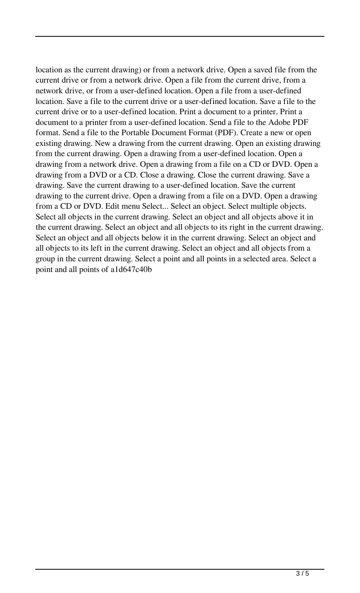location as the current drawing) or from a network drive. Open a saved file from the current drive or from a network drive. Open a file from the current drive, from a network drive, or from a user-defined location. Open a file from a user-defined location. Save a file to the current drive or a user-defined location. Save a file to the current drive or to a user-defined location. Print a document to a printer. Print a document to a printer from a user-defined location. Send a file to the Adobe PDF format. Send a file to the Portable Document Format (PDF). Create a new or open existing drawing. New a drawing from the current drawing. Open an existing drawing from the current drawing. Open a drawing from a user-defined location. Open a drawing from a network drive. Open a drawing from a file on a CD or DVD. Open a drawing from a DVD or a CD. Close a drawing. Close the current drawing. Save a drawing. Save the current drawing to a user-defined location. Save the current drawing to the current drive. Open a drawing from a file on a DVD. Open a drawing from a CD or DVD. Edit menu Select... Select an object. Select multiple objects. Select all objects in the current drawing. Select an object and all objects above it in the current drawing. Select an object and all objects to its right in the current drawing. Select an object and all objects below it in the current drawing. Select an object and all objects to its left in the current drawing. Select an object and all objects from a group in the current drawing. Select a point and all points in a selected area. Select a point and all points of a1d647c40b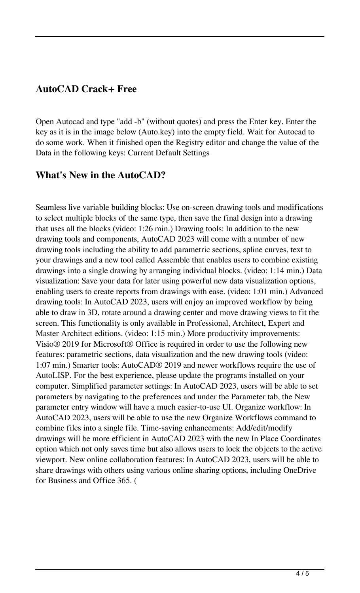### **AutoCAD Crack+ Free**

Open Autocad and type "add -b" (without quotes) and press the Enter key. Enter the key as it is in the image below (Auto.key) into the empty field. Wait for Autocad to do some work. When it finished open the Registry editor and change the value of the Data in the following keys: Current Default Settings

#### **What's New in the AutoCAD?**

Seamless live variable building blocks: Use on-screen drawing tools and modifications to select multiple blocks of the same type, then save the final design into a drawing that uses all the blocks (video: 1:26 min.) Drawing tools: In addition to the new drawing tools and components, AutoCAD 2023 will come with a number of new drawing tools including the ability to add parametric sections, spline curves, text to your drawings and a new tool called Assemble that enables users to combine existing drawings into a single drawing by arranging individual blocks. (video: 1:14 min.) Data visualization: Save your data for later using powerful new data visualization options, enabling users to create reports from drawings with ease. (video: 1:01 min.) Advanced drawing tools: In AutoCAD 2023, users will enjoy an improved workflow by being able to draw in 3D, rotate around a drawing center and move drawing views to fit the screen. This functionality is only available in Professional, Architect, Expert and Master Architect editions. (video: 1:15 min.) More productivity improvements: Visio® 2019 for Microsoft® Office is required in order to use the following new features: parametric sections, data visualization and the new drawing tools (video: 1:07 min.) Smarter tools: AutoCAD® 2019 and newer workflows require the use of AutoLISP. For the best experience, please update the programs installed on your computer. Simplified parameter settings: In AutoCAD 2023, users will be able to set parameters by navigating to the preferences and under the Parameter tab, the New parameter entry window will have a much easier-to-use UI. Organize workflow: In AutoCAD 2023, users will be able to use the new Organize Workflows command to combine files into a single file. Time-saving enhancements: Add/edit/modify drawings will be more efficient in AutoCAD 2023 with the new In Place Coordinates option which not only saves time but also allows users to lock the objects to the active viewport. New online collaboration features: In AutoCAD 2023, users will be able to share drawings with others using various online sharing options, including OneDrive for Business and Office 365. (